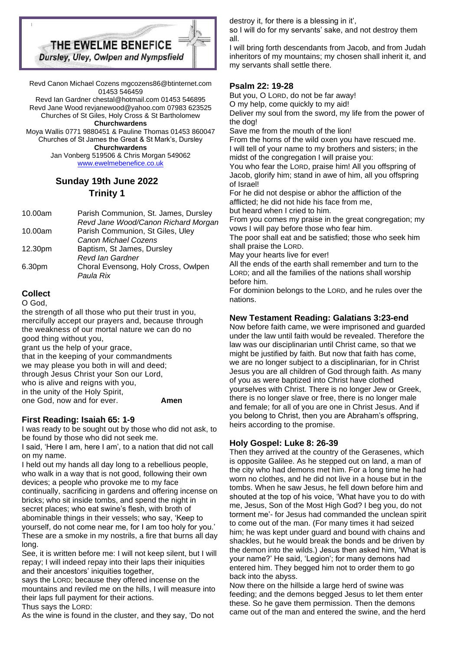

Revd Canon Michael Cozens mgcozens86@btinternet.com 01453 546459

Revd Ian Gardner chestal@hotmail.com 01453 546895 Revd Jane Wood revjanewood@yahoo.com 07983 623525 Churches of St Giles, Holy Cross & St Bartholomew **Churchwardens** 

Moya Wallis 0771 9880451 & Pauline Thomas 01453 860047 Churches of St James the Great & St Mark's, Dursley **Churchwardens** 

Jan Vonberg 519506 & Chris Morgan 549062 [www.ewelmebenefice.co.uk](http://www.ewelmebenefice.co.uk/)

# **Sunday 19th June 2022 Trinity 1**

| 10.00am | Parish Communion, St. James, Dursley<br>Revd Jane Wood/Canon Richard Morgan |
|---------|-----------------------------------------------------------------------------|
| 10.00am | Parish Communion, St Giles, Uley                                            |
|         | Canon Michael Cozens                                                        |
| 12.30pm | Baptism, St James, Dursley                                                  |
|         | Revd lan Gardner                                                            |
| 6.30pm  | Choral Evensong, Holy Cross, Owlpen                                         |
|         | Paula Rix                                                                   |
|         |                                                                             |

# **Collect**

O God,

the strength of all those who put their trust in you, mercifully accept our prayers and, because through the weakness of our mortal nature we can do no good thing without you, grant us the help of your grace,

that in the keeping of your commandments we may please you both in will and deed; through Jesus Christ your Son our Lord, who is alive and reigns with you, in the unity of the Holy Spirit, one God, now and for ever. **Amen**

# **First Reading: Isaiah 65: 1-9**

I was ready to be sought out by those who did not ask, to be found by those who did not seek me.

I said, 'Here I am, here I am', to a nation that did not call on my name.

I held out my hands all day long to a rebellious people, who walk in a way that is not good, following their own devices; a people who provoke me to my face continually, sacrificing in gardens and offering incense on bricks; who sit inside tombs, and spend the night in secret places; who eat swine's flesh, with broth of abominable things in their vessels; who say, 'Keep to yourself, do not come near me, for I am too holy for you.' These are a smoke in my nostrils, a fire that burns all day long.

See, it is written before me: I will not keep silent, but I will repay; I will indeed repay into their laps their iniquities and their ancestors' iniquities together,

says the LORD; because they offered incense on the mountains and reviled me on the hills, I will measure into their laps full payment for their actions. Thus says the LORD:

As the wine is found in the cluster, and they say, 'Do not

destroy it, for there is a blessing in it',

so I will do for my servants' sake, and not destroy them all.

I will bring forth descendants from Jacob, and from Judah inheritors of my mountains; my chosen shall inherit it, and my servants shall settle there.

### **Psalm 22: 19-28**

But you, O LORD, do not be far away!

O my help, come quickly to my aid!

Deliver my soul from the sword, my life from the power of the dog!

Save me from the mouth of the lion!

From the horns of the wild oxen you have rescued me. I will tell of your name to my brothers and sisters; in the midst of the congregation I will praise you:

You who fear the LORD, praise him! All you offspring of Jacob, glorify him; stand in awe of him, all you offspring of Israel!

For he did not despise or abhor the affliction of the afflicted; he did not hide his face from me,

but heard when I cried to him.

From you comes my praise in the great congregation; my vows I will pay before those who fear him.

The poor shall eat and be satisfied; those who seek him shall praise the LORD.

May your hearts live for ever!

All the ends of the earth shall remember and turn to the LORD; and all the families of the nations shall worship before him.

For dominion belongs to the LORD, and he rules over the nations.

# **New Testament Reading: Galatians 3:23-end**

Now before faith came, we were imprisoned and guarded under the law until faith would be revealed. Therefore the law was our disciplinarian until Christ came, so that we might be justified by faith. But now that faith has come, we are no longer subject to a disciplinarian, for in Christ Jesus you are all children of God through faith. As many of you as were baptized into Christ have clothed yourselves with Christ. There is no longer Jew or Greek, there is no longer slave or free, there is no longer male and female; for all of you are one in Christ Jesus. And if you belong to Christ, then you are Abraham's offspring, heirs according to the promise.

### **Holy Gospel: Luke 8: 26-39**

Then they arrived at the country of the Gerasenes, which is opposite Galilee. As he stepped out on land, a man of the city who had demons met him. For a long time he had worn no clothes, and he did not live in a house but in the tombs. When he saw Jesus, he fell down before him and shouted at the top of his voice, 'What have you to do with me, Jesus, Son of the Most High God? I beg you, do not torment me'- for Jesus had commanded the unclean spirit to come out of the man. (For many times it had seized him; he was kept under guard and bound with chains and shackles, but he would break the bonds and be driven by the demon into the wilds.) Jesus then asked him, 'What is your name?' He said, 'Legion'; for many demons had entered him. They begged him not to order them to go back into the abyss.

Now there on the hillside a large herd of swine was feeding; and the demons begged Jesus to let them enter these. So he gave them permission. Then the demons came out of the man and entered the swine, and the herd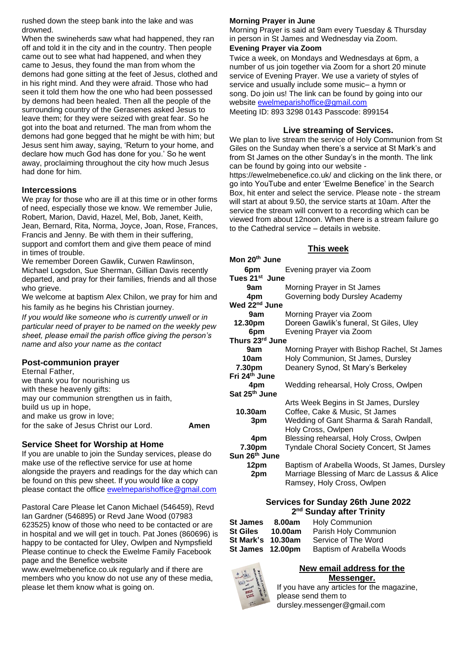rushed down the steep bank into the lake and was drowned.

When the swineherds saw what had happened, they ran off and told it in the city and in the country. Then people came out to see what had happened, and when they came to Jesus, they found the man from whom the demons had gone sitting at the feet of Jesus, clothed and in his right mind. And they were afraid. Those who had seen it told them how the one who had been possessed by demons had been healed. Then all the people of the surrounding country of the Gerasenes asked Jesus to leave them; for they were seized with great fear. So he got into the boat and returned. The man from whom the demons had gone begged that he might be with him; but Jesus sent him away, saying, 'Return to your home, and declare how much God has done for you.' So he went away, proclaiming throughout the city how much Jesus had done for him.

### **Intercessions**

We pray for those who are ill at this time or in other forms of need, especially those we know. We remember Julie, Robert, Marion, David, Hazel, Mel, Bob, Janet, Keith, Jean, Bernard, Rita, Norma, Joyce, Joan, Rose, Frances, Francis and Jenny. Be with them in their suffering, support and comfort them and give them peace of mind in times of trouble.

We remember Doreen Gawlik, Curwen Rawlinson, Michael Logsdon, Sue Sherman, Gillian Davis recently departed, and pray for their families, friends and all those who grieve.

We welcome at baptism Alex Chilon, we pray for him and his family as he begins his Christian journey.

*If you would like someone who is currently unwell or in particular need of prayer to be named on the weekly pew sheet, please email the parish office giving the person's name and also your name as the contact*

### **Post-communion prayer**

| Eternal Father,                           |      |
|-------------------------------------------|------|
| we thank you for nourishing us            |      |
| with these heavenly gifts:                |      |
| may our communion strengthen us in faith, |      |
| build us up in hope,                      |      |
| and make us grow in love;                 |      |
| for the sake of Jesus Christ our Lord.    | Amen |
|                                           |      |

### **Service Sheet for Worship at Home**

If you are unable to join the Sunday services, please do make use of the reflective service for use at home alongside the prayers and readings for the day which can be found on this pew sheet. If you would like a copy please contact the office [ewelmeparishoffice@gmail.com](mailto:ewelmeparishoffice@gmail.com)

Pastoral Care Please let Canon Michael (546459), Revd Ian Gardner (546895) or Revd Jane Wood (07983 623525) know of those who need to be contacted or are in hospital and we will get in touch. Pat Jones (860696) is happy to be contacted for Uley, Owlpen and Nympsfield Please continue to check the Ewelme Family Facebook page and the Benefice website

www.ewelmebenefice.co.uk regularly and if there are members who you know do not use any of these media, please let them know what is going on.

#### **Morning Prayer in June**

Morning Prayer is said at 9am every Tuesday & Thursday in person in St James and Wednesday via Zoom.

# **Evening Prayer via Zoom**

Twice a week, on Mondays and Wednesdays at 6pm, a number of us join together via Zoom for a short 20 minute service of Evening Prayer. We use a variety of styles of service and usually include some music– a hymn or song. Do join us! The link can be found by going into our website [ewelmeparishoffice@gmail.com](mailto:ewelmeparishoffice@gmail.com)

Meeting ID: 893 3298 0143 Passcode: 899154

### **Live streaming of Services.**

We plan to live stream the service of Holy Communion from St Giles on the Sunday when there's a service at St Mark's and from St James on the other Sunday's in the month. The link can be found by going into our website -

https://ewelmebenefice.co.uk/ and clicking on the link there, or go into YouTube and enter 'Ewelme Benefice' in the Search Box, hit enter and select the service. Please note - the stream will start at about 9.50, the service starts at 10am. After the service the stream will convert to a recording which can be viewed from about 12noon. When there is a stream failure go to the Cathedral service – details in website.

#### **This week**

| Mon 20 <sup>th</sup> June  |                                                                         |  |  |
|----------------------------|-------------------------------------------------------------------------|--|--|
| 6pm                        | Evening prayer via Zoom                                                 |  |  |
| Tues 21 <sup>st</sup> June |                                                                         |  |  |
| 9am                        | Morning Prayer in St James                                              |  |  |
| 4pm                        | Governing body Dursley Academy                                          |  |  |
| Wed 22 <sup>nd</sup> June  |                                                                         |  |  |
| 9am                        | Morning Prayer via Zoom                                                 |  |  |
| 12.30pm                    | Doreen Gawlik's funeral, St Giles, Uley                                 |  |  |
| 6pm                        | Evening Prayer via Zoom                                                 |  |  |
| Thurs 23rd June            |                                                                         |  |  |
| 9am                        | Morning Prayer with Bishop Rachel, St James                             |  |  |
| 10am                       | Holy Communion, St James, Dursley                                       |  |  |
| 7.30pm                     | Deanery Synod, St Mary's Berkeley                                       |  |  |
| Fri 24 <sup>th</sup> June  |                                                                         |  |  |
| 4pm                        | Wedding rehearsal, Holy Cross, Owlpen                                   |  |  |
| Sat 25 <sup>th</sup> June  |                                                                         |  |  |
| 10.30am                    | Arts Week Begins in St James, Dursley<br>Coffee, Cake & Music, St James |  |  |
|                            | Wedding of Gant Sharma & Sarah Randall,                                 |  |  |
| 3pm                        | Holy Cross, Owlpen                                                      |  |  |
| 4pm                        | Blessing rehearsal, Holy Cross, Owlpen                                  |  |  |
| 7.30pm                     | <b>Tyndale Choral Society Concert, St James</b>                         |  |  |
| Sun 26th June              |                                                                         |  |  |
| 12pm                       | Baptism of Arabella Woods, St James, Dursley                            |  |  |
| 2pm                        | Marriage Blessing of Marc de Lassus & Alice                             |  |  |
|                            | Ramsey, Holy Cross, Owlpen                                              |  |  |
|                            |                                                                         |  |  |

### **Services for Sunday 26th June 2022 2 nd Sunday after Trinity**

| St James 8.00am   | <b>Holy Communion</b>     |
|-------------------|---------------------------|
| St Giles 10.00am  | Parish Holy Communion     |
| St Mark's 10.30am | Service of The Word       |
| St James 12.00pm  | Baptism of Arabella Woods |
|                   |                           |

### **New email address for the Messenger.**



If you have any articles for the magazine, please send them to dursley.messenger@gmail.com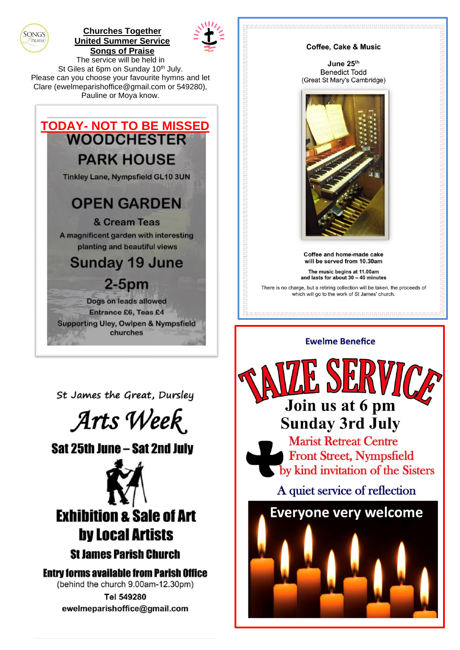

# **Churches Together United Summer Service Songs of Praise**



The service will be held in St Giles at 6pm on Sunday 10th July. Please can you choose your favourite hymns and let Clare (ewelmeparishoffice@gmail.com or 549280), Pauline or Moya know.



St James the Great, Dursley



Sat 25th June - Sat 2nd July



**Entry forms available from Parish Office** (behind the church 9.00am-12.30pm) Tel 549280

ewelmeparishoffice@gmail.com



Join us at 6 pm **Sunday 3rd July Marist Retreat Centre** 

**Front Street, Nympsfield** by kind invitation of the Sisters

A quiet service of reflection